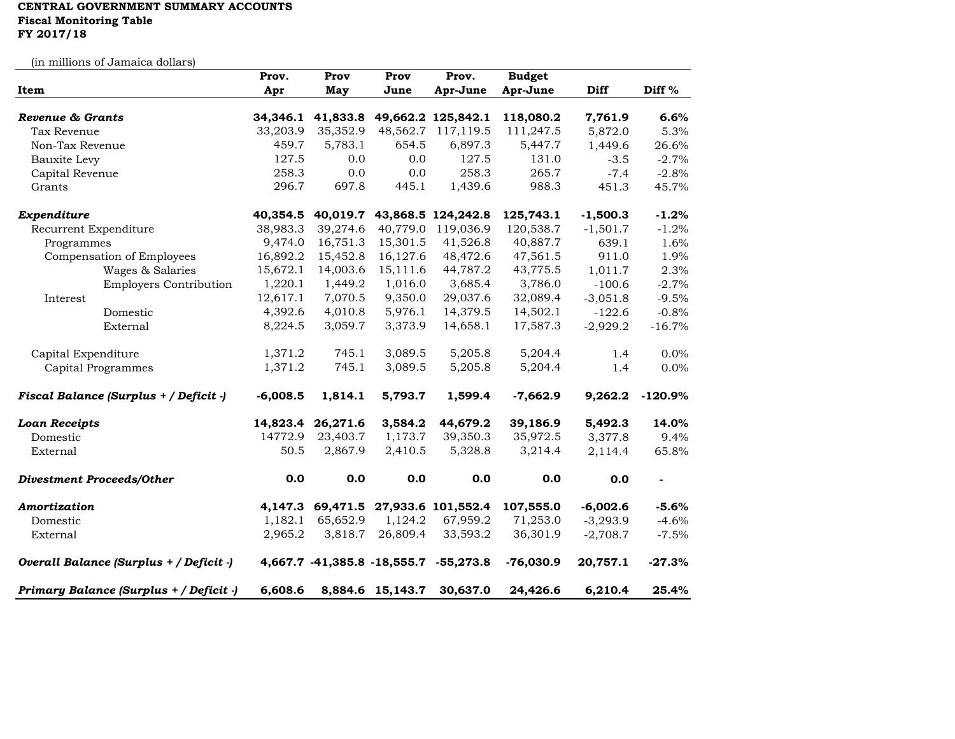## **CENTRAL GOVERNMENT SUMMARY ACCOUNTS Fiscal Monitoring Table FY 2017/18**

(in millions of Jamaica dollars)

|                                         | Prov.      | Prov              | Prov             | Prov.                                 | <b>Budget</b> |            |                          |
|-----------------------------------------|------------|-------------------|------------------|---------------------------------------|---------------|------------|--------------------------|
| Item                                    | Apr        | May               | June             | Apr-June                              | Apr-June      | Diff       | Diff <sup>%</sup>        |
| Revenue & Grants                        | 34,346.1   | 41,833.8          |                  | 49,662.2 125,842.1                    | 118,080.2     | 7,761.9    | 6.6%                     |
| Tax Revenue                             | 33,203.9   | 35,352.9          | 48,562.7         | 117,119.5                             | 111,247.5     | 5,872.0    | 5.3%                     |
| Non-Tax Revenue                         | 459.7      | 5,783.1           | 654.5            | 6,897.3                               | 5,447.7       | 1,449.6    | 26.6%                    |
| Bauxite Levy                            | 127.5      | 0.0               | 0.0              | 127.5                                 | 131.0         | $-3.5$     | $-2.7%$                  |
| Capital Revenue                         | 258.3      | 0.0               | 0.0              | 258.3                                 | 265.7         | $-7.4$     | $-2.8%$                  |
| Grants                                  | 296.7      | 697.8             | 445.1            | 1,439.6                               | 988.3         | 451.3      | 45.7%                    |
|                                         |            |                   |                  |                                       |               |            |                          |
| Expenditure                             | 40,354.5   |                   |                  | 40,019.7 43,868.5 124,242.8           | 125,743.1     | $-1,500.3$ | $-1.2%$                  |
| Recurrent Expenditure                   | 38,983.3   | 39,274.6          |                  | 40,779.0 119,036.9                    | 120,538.7     | $-1,501.7$ | $-1.2%$                  |
| Programmes                              | 9,474.0    | 16,751.3          | 15,301.5         | 41,526.8                              | 40,887.7      | 639.1      | 1.6%                     |
| Compensation of Employees               | 16,892.2   | 15,452.8          | 16,127.6         | 48,472.6                              | 47,561.5      | 911.0      | 1.9%                     |
| Wages & Salaries                        | 15,672.1   | 14,003.6          | 15,111.6         | 44,787.2                              | 43,775.5      | 1,011.7    | 2.3%                     |
| <b>Employers Contribution</b>           | 1,220.1    | 1,449.2           | 1,016.0          | 3,685.4                               | 3,786.0       | $-100.6$   | $-2.7%$                  |
| Interest                                | 12,617.1   | 7,070.5           | 9,350.0          | 29,037.6                              | 32,089.4      | $-3,051.8$ | $-9.5%$                  |
| Domestic                                | 4,392.6    | 4,010.8           | 5,976.1          | 14,379.5                              | 14,502.1      | $-122.6$   | $-0.8%$                  |
| External                                | 8,224.5    | 3,059.7           | 3,373.9          | 14,658.1                              | 17,587.3      | $-2,929.2$ | $-16.7%$                 |
| Capital Expenditure                     | 1,371.2    | 745.1             | 3,089.5          | 5,205.8                               | 5,204.4       | 1.4        | 0.0%                     |
| Capital Programmes                      | 1,371.2    | 745.1             | 3,089.5          | 5,205.8                               | 5,204.4       | 1.4        | 0.0%                     |
| Fiscal Balance (Surplus + / Deficit -)  | $-6,008.5$ | 1,814.1           | 5,793.7          | 1,599.4                               | $-7,662.9$    | 9,262.2    | $-120.9%$                |
| <b>Loan Receipts</b>                    |            | 14,823.4 26,271.6 | 3,584.2          | 44,679.2                              | 39,186.9      | 5,492.3    | 14.0%                    |
| Domestic                                | 14772.9    | 23,403.7          | 1,173.7          | 39,350.3                              | 35,972.5      | 3,377.8    | 9.4%                     |
| External                                | 50.5       | 2,867.9           | 2,410.5          | 5,328.8                               | 3,214.4       | 2,114.4    | 65.8%                    |
| <b>Divestment Proceeds/Other</b>        | 0.0        | 0.0               | 0.0              | 0.0                                   | 0.0           | 0.0        | $\overline{\phantom{a}}$ |
| Amortization                            |            |                   |                  | 4,147.3 69,471.5 27,933.6 101,552.4   | 107,555.0     | $-6,002.6$ | $-5.6%$                  |
| Domestic                                | 1,182.1    | 65,652.9          | 1,124.2          | 67,959.2                              | 71,253.0      | $-3,293.9$ | $-4.6%$                  |
| External                                | 2,965.2    | 3,818.7           | 26,809.4         | 33,593.2                              | 36,301.9      | $-2,708.7$ | $-7.5%$                  |
| Overall Balance (Surplus + / Deficit -) |            |                   |                  | 4,667.7 -41,385.8 -18,555.7 -55,273.8 | $-76,030.9$   | 20,757.1   | $-27.3%$                 |
| Primary Balance (Surplus + / Deficit -) | 6,608.6    |                   | 8,884.6 15,143.7 | 30,637.0                              | 24,426.6      | 6,210.4    | 25.4%                    |